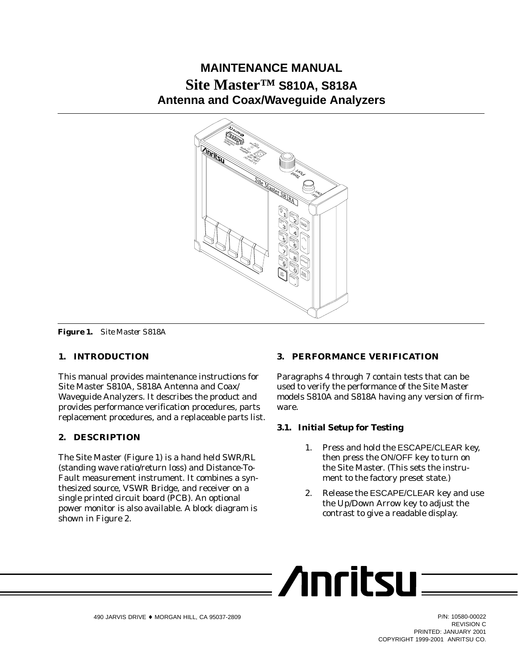# **MAINTENANCE MANUAL Site Master™ S810A, S818A Antenna and Coax/Waveguide Analyzers**



*Figure 1. Site Master S818A*

# **1. INTRODUCTION**

This manual provides maintenance instructions for Site Master S810A, S818A Antenna and Coax/ Waveguide Analyzers. It describes the product and provides performance verification procedures, parts replacement procedures, and a replaceable parts list.

# **2. DESCRIPTION**

The Site Master (Figure 1) is a hand held SWR/RL (standing wave ratio/return loss) and Distance-To-Fault measurement instrument. It combines a synthesized source, VSWR Bridge, and receiver on a single printed circuit board (PCB). An optional power monitor is also available. A block diagram is shown in Figure 2.

# **3. PERFORMANCE VERIFICATION**

Paragraphs 4 through 7 contain tests that can be used to verify the performance of the Site Master models S810A and S818A having any version of firmware.

# **3.1. Initial Setup for Testing**

- 1. Press and hold the ESCAPE/CLEAR key, then press the ON/OFF key to turn on the Site Master. (This sets the instrument to the factory preset state.)
- 2. Release the ESCAPE/CLEAR key and use the Up/Down Arrow key to adjust the contrast to give a readable display.

$$
\overline{\phantom{1}}\hspace{1.5cm}\text{Arritsu}\overline{\phantom{1}}\hspace{1.5cm}
$$

REVISION C PRINTED: JANUARY 2001 COPYRIGHT 1999-2001 ANRITSU CO.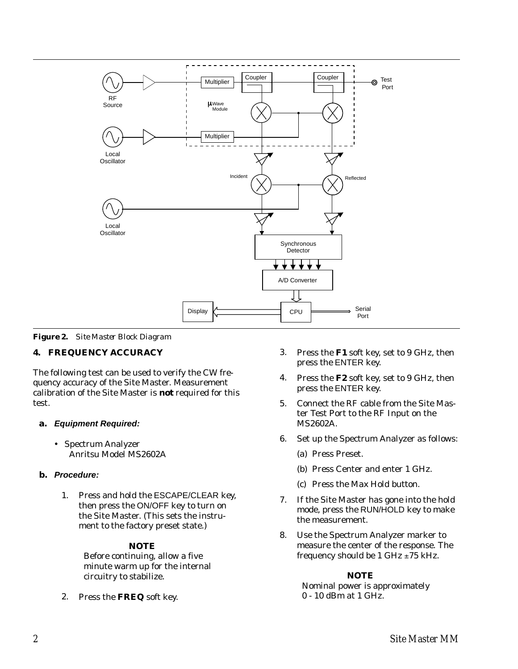

*Figure 2. Site Master Block Diagram*

# **4. FREQUENCY ACCURACY**

The following test can be used to verify the CW frequency accuracy of the Site Master. Measurement calibration of the Site Master is *not* required for this test.

# **a. Equipment Required:**

- Spectrum Analyzer Anritsu Model MS2602A

# **b. Procedure:**

1. Press and hold the ESCAPE/CLEAR key, then press the ON/OFF key to turn on the Site Master. (This sets the instrument to the factory preset state.)

# *NOTE*

Before continuing, allow a five minute warm up for the internal circuitry to stabilize.

2. Press the **FREQ** soft key.

- 3. Press the **F1** soft key, set to 9 GHz, then press the ENTER key.
- 4. Press the **F2** soft key, set to 9 GHz, then press the ENTER key.
- 5. Connect the RF cable from the Site Master Test Port to the RF Input on the MS2602A.
- 6. Set up the Spectrum Analyzer as follows:
	- (a) Press Preset.
	- (b) Press Center and enter 1 GHz.
	- (c) Press the Max Hold button.
- 7. If the Site Master has gone into the hold mode, press the RUN/HOLD key to make the measurement.
- 8. Use the Spectrum Analyzer marker to measure the center of the response. The frequency should be 1 GHz  $\pm$ 75 kHz.

# *NOTE*

Nominal power is approximately 0 - 10 dBm at 1 GHz.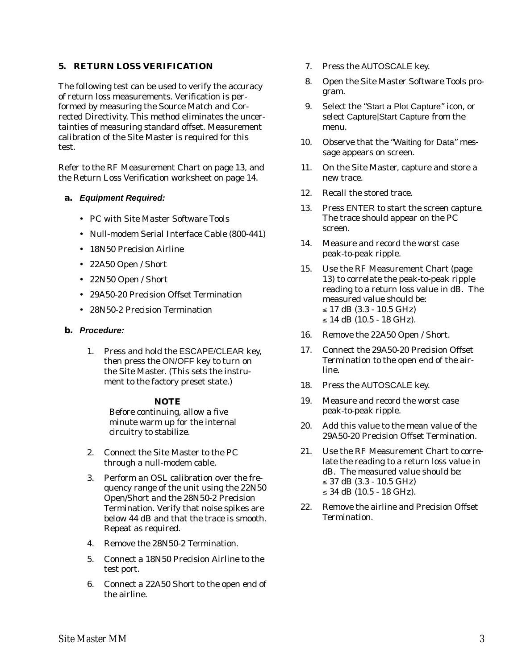# **5. RETURN LOSS VERIFICATION**

The following test can be used to verify the accuracy of return loss measurements. Verification is performed by measuring the Source Match and Corrected Directivity. This method eliminates the uncertainties of measuring standard offset. Measurement calibration of the Site Master is required for this test.

Refer to the RF Measurement Chart on page 13, and the Return Loss Verification worksheet on page 14.

### **a. Equipment Required:**

- PC with Site Master Software Tools
- Null-modem Serial Interface Cable (800-441)
- 18N50 Precision Airline
- 22A50 Open / Short
- 22N50 Open / Short
- 29A50-20 Precision Offset Termination
- 28N50-2 Precision Termination

### **b. Procedure:**

1. Press and hold the ESCAPE/CLEAR key, then press the ON/OFF key to turn on the Site Master. (This sets the instrument to the factory preset state.)

### *NOTE*

Before continuing, allow a five minute warm up for the internal circuitry to stabilize.

- 2. Connect the Site Master to the PC through a null-modem cable.
- 3. Perform an OSL calibration over the frequency range of the unit using the 22N50 Open/Short and the 28N50-2 Precision Termination. Verify that noise spikes are below 44 dB and that the trace is smooth. Repeat as required.
- 4. Remove the 28N50-2 Termination.
- 5. Connect a 18N50 Precision Airline to the test port.
- 6. Connect a 22A50 Short to the open end of the airline.
- 7. Press the AUTOSCALE key.
- 8. Open the Site Master Software Tools program.
- 9. Select the "Start a Plot Capture" icon, or select Capture|Start Capture from the menu.
- 10. Observe that the "Waiting for Data" message appears on screen.
- 11. On the Site Master, capture and store a new trace.
- 12. Recall the stored trace.
- 13. Press ENTER to start the screen capture. The trace should appear on the PC screen.
- 14. Measure and record the worst case peak-to-peak ripple.
- 15. Use the RF Measurement Chart (page 13) to correlate the peak-to-peak ripple reading to a return loss value in dB. The measured value should be:  $\leq$  17 dB (3.3 - 10.5 GHz)  $\leq$  14 dB (10.5 - 18 GHz).
- 16. Remove the 22A50 Open / Short.
- 17. Connect the 29A50-20 Precision Offset Termination to the open end of the airline.
- 18. Press the AUTOSCALE key.
- 19. Measure and record the worst case peak-to-peak ripple.
- 20. Add this value to the mean value of the 29A50-20 Precision Offset Termination.
- 21. Use the RF Measurement Chart to correlate the reading to a return loss value in dB. The measured value should be:  $\leq$  37 dB (3.3 - 10.5 GHz)  $\leq$  34 dB (10.5 - 18 GHz).
- 22. Remove the airline and Precision Offset Termination.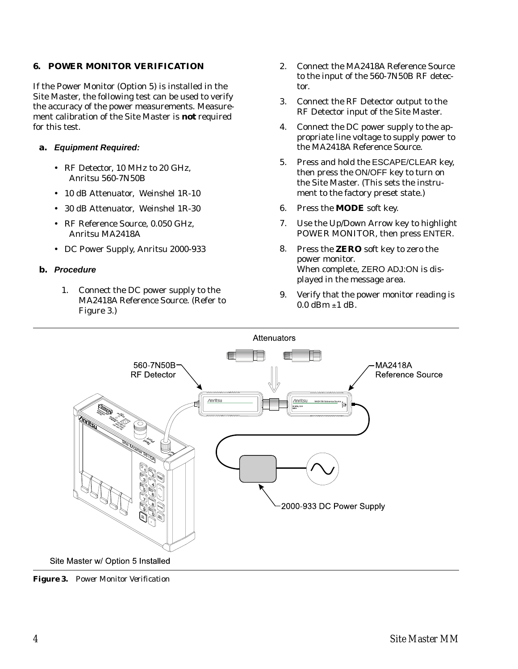# **6. POWER MONITOR VERIFICATION**

If the Power Monitor (Option 5) is installed in the Site Master, the following test can be used to verify the accuracy of the power measurements. Measurement calibration of the Site Master is *not* required for this test.

# **a. Equipment Required:**

- RF Detector, 10 MHz to 20 GHz, Anritsu 560-7N50B
- 10 dB Attenuator, Weinshel 1R-10
- 30 dB Attenuator, Weinshel 1R-30
- RF Reference Source, 0.050 GHz, Anritsu MA2418A
- DC Power Supply, Anritsu 2000-933

### **b. Procedure**

1. Connect the DC power supply to the MA2418A Reference Source. (Refer to Figure 3.)

- 2. Connect the MA2418A Reference Source to the input of the 560-7N50B RF detector.
- 3. Connect the RF Detector output to the RF Detector input of the Site Master.
- 4. Connect the DC power supply to the appropriate line voltage to supply power to the MA2418A Reference Source.
- 5. Press and hold the ESCAPE/CLEAR key, then press the ON/OFF key to turn on the Site Master. (This sets the instrument to the factory preset state.)
- 6. Press the **MODE** soft key.
- 7. Use the Up/Down Arrow key to highlight POWER MONITOR, then press ENTER.
- 8. Press the **ZERO** soft key to zero the power monitor. When complete, ZERO ADJ:ON is displayed in the message area.
- 9. Verify that the power monitor reading is  $0.0$  dBm  $\pm 1$  dB.



*Figure 3. Power Monitor Verification*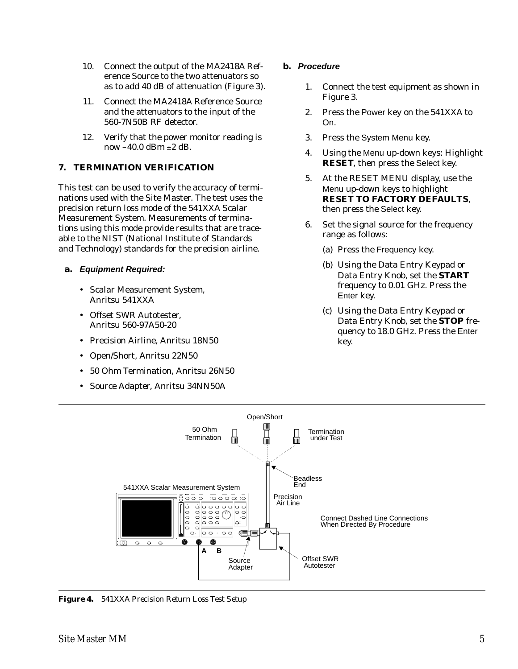- 10. Connect the output of the MA2418A Reference Source to the two attenuators so as to add 40 dB of attenuation (Figure 3).
- 11. Connect the MA2418A Reference Source and the attenuators to the input of the 560-7N50B RF detector.
- 12. Verify that the power monitor reading is now  $-40.0$  dBm  $\pm 2$  dB.

# **7. TERMINATION VERIFICATION**

This test can be used to verify the accuracy of terminations used with the Site Master. The test uses the precision return loss mode of the 541XXA Scalar Measurement System. Measurements of terminations using this mode provide results that are traceable to the NIST (National Institute of Standards and Technology) standards for the precision airline.

- **a. Equipment Required:**
	- Scalar Measurement System, Anritsu 541XXA
	- Offset SWR Autotester, Anritsu 560-97A50-20
	- Precision Airline, Anritsu 18N50
	- Open/Short, Anritsu 22N50
	- 50 Ohm Termination, Anritsu 26N50
	- Source Adapter, Anritsu 34NN50A

# **b. Procedure**

- 1. Connect the test equipment as shown in Figure 3.
- 2. Press the Power key on the 541XXA to On.
- 3. Press the System Menu key.
- 4. Using the Menu up-down keys: Highlight **RESET**, then press the Select key.
- 5. At the RESET MENU display, use the Menu up-down keys to highlight **RESET TO FACTORY DEFAULTS**, then press the Select key.
- 6. Set the signal source for the frequency range as follows:
	- (a) Press the Frequency key.
	- (b) Using the Data Entry Keypad or Data Entry Knob, set the **START** frequency to 0.01 GHz. Press the Enter key.
	- (c) Using the Data Entry Keypad or Data Entry Knob, set the **STOP** frequency to 18.0 GHz. Press the Enter key.



*Figure 4. 541XXA Precision Return Loss Test Setup*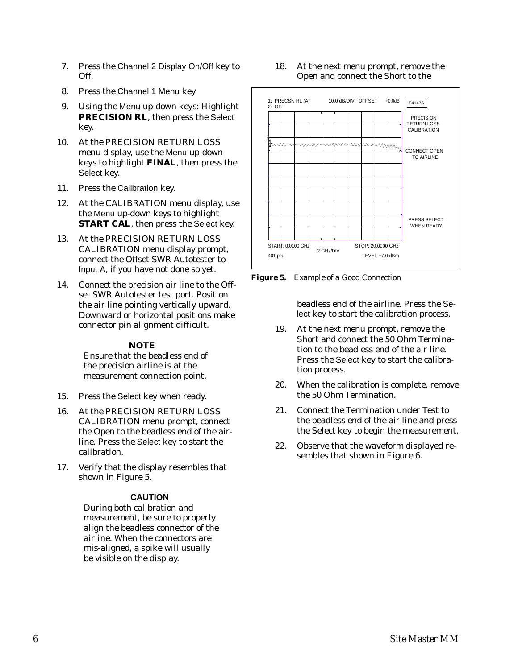- 7. Press the Channel 2 Display On/Off key to Off.
- 8. Press the Channel 1 Menu key.
- 9. Using the Menu up-down keys: Highlight **PRECISION RL**, then press the Select key.
- 10. At the PRECISION RETURN LOSS menu display, use the Menu up-down keys to highlight **FINAL**, then press the Select key.
- 11. Press the Calibration key.
- 12. At the CALIBRATION menu display, use the Menu up-down keys to highlight **START CAL**, then press the Select key.
- 13. At the PRECISION RETURN LOSS CALIBRATION menu display prompt, connect the Offset SWR Autotester to Input A, if you have not done so yet.
- 14. Connect the precision air line to the Offset SWR Autotester test port. Position the air line pointing vertically upward. Downward or horizontal positions make connector pin alignment difficult.

# *NOTE*

Ensure that the beadless end of the precision airline is at the measurement connection point.

- 15. Press the Select key when ready.
- 16. At the PRECISION RETURN LOSS CALIBRATION menu prompt, connect the Open to the beadless end of the airline. Press the Select key to start the calibration.
- 17. Verify that the display resembles that shown in Figure 5.

# **CAUTION**

During both calibration and measurement, be sure to properly align the beadless connector of the airline. When the connectors are mis-aligned, a spike will usually be visible on the display.

18. At the next menu prompt, remove the Open and connect the Short to the

![](_page_5_Figure_16.jpeg)

*Figure 5. Example of a Good Connection*

beadless end of the airline. Press the Select key to start the calibration process.

- 19. At the next menu prompt, remove the Short and connect the 50 Ohm Termination to the beadless end of the air line. Press the Select key to start the calibration process.
- 20. When the calibration is complete, remove the 50 Ohm Termination.
- 21. Connect the Termination under Test to the beadless end of the air line and press the Select key to begin the measurement.
- 22. Observe that the waveform displayed resembles that shown in Figure 6.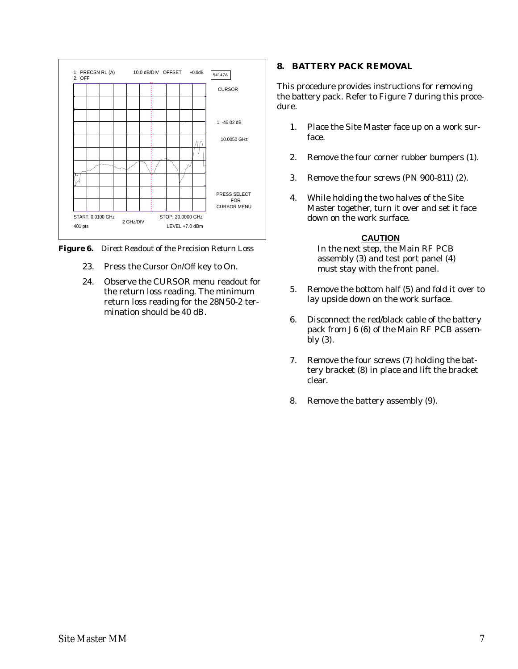![](_page_6_Figure_0.jpeg)

*Figure 6. Direct Readout of the Precision Return Loss*

- 23. Press the Cursor On/Off key to On.
- 24. Observe the CURSOR menu readout for the return loss reading. The minimum return loss reading for the 28N50-2 termination should be 40 dB.

### **8. BATTERY PACK REMOVAL**

This procedure provides instructions for removing the battery pack. Refer to Figure 7 during this procedure.

- 1. Place the Site Master face up on a work surface.
- 2. Remove the four corner rubber bumpers (1).
- 3. Remove the four screws (PN 900-811) (2).
- 4. While holding the two halves of the Site Master together, turn it over and set it face down on the work surface.

### **CAUTION**

In the next step, the Main RF PCB assembly (3) and test port panel (4) must stay with the front panel.

- 5. Remove the bottom half (5) and fold it over to lay upside down on the work surface.
- 6. Disconnect the red/black cable of the battery pack from J6 (6) of the Main RF PCB assembly (3).
- 7. Remove the four screws (7) holding the battery bracket (8) in place and lift the bracket clear.
- 8. Remove the battery assembly (9).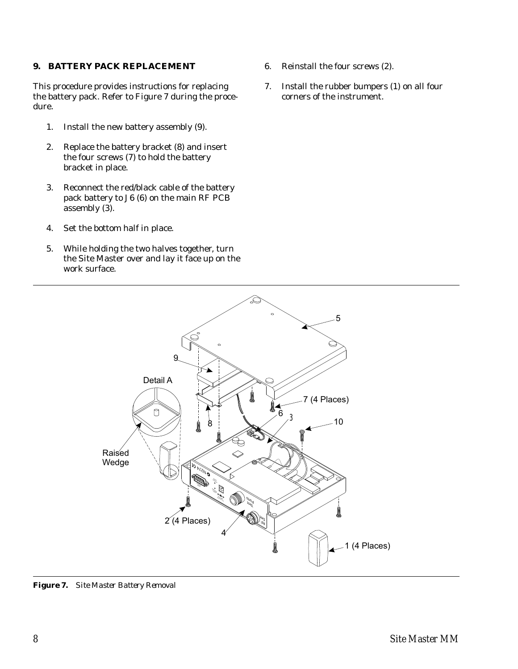### **9. BATTERY PACK REPLACEMENT**

This procedure provides instructions for replacing the battery pack. Refer to Figure 7 during the procedure.

- 1. Install the new battery assembly (9).
- 2. Replace the battery bracket (8) and insert the four screws (7) to hold the battery bracket in place.
- 3. Reconnect the red/black cable of the battery pack battery to J6 (6) on the main RF PCB assembly (3).
- 4. Set the bottom half in place.
- 5. While holding the two halves together, turn the Site Master over and lay it face up on the work surface.
- 6. Reinstall the four screws (2).
- 7. Install the rubber bumpers (1) on all four corners of the instrument.

![](_page_7_Figure_9.jpeg)

*Figure 7. Site Master Battery Removal*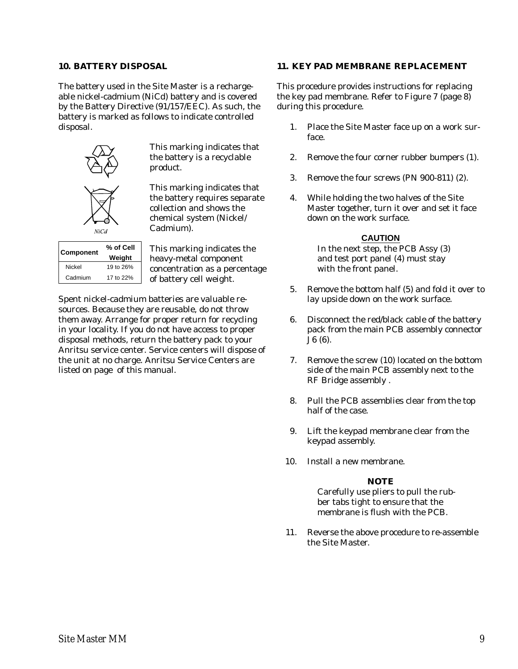### **10. BATTERY DISPOSAL**

The battery used in the Site Master is a rechargeable nickel-cadmium (NiCd) battery and is covered by the Battery Directive (91/157/EEC). As such, the battery is marked as follows to indicate controlled disposal.

![](_page_8_Picture_2.jpeg)

This marking indicates that the battery is a recyclable product.

This marking indicates that the battery requires separate collection and shows the chemical system (Nickel/ Cadmium).

|           | % of Cell |  |
|-----------|-----------|--|
| Component | Weight    |  |
| Nickel    | 19 to 26% |  |
| Cadmium   | 17 to 22% |  |

This marking indicates the heavy-metal component concentration as a percentage of battery cell weight.

Spent nickel-cadmium batteries are valuable resources. Because they are reusable, do not throw them away. Arrange for proper return for recycling in your locality. If you do not have access to proper disposal methods, return the battery pack to your Anritsu service center. Service centers will dispose of the unit at no charge. Anritsu Service Centers are listed on page of this manual.

### **11. KEY PAD MEMBRANE REPLACEMENT**

This procedure provides instructions for replacing the key pad membrane. Refer to Figure 7 (page 8) during this procedure.

- 1. Place the Site Master face up on a work surface.
- 2. Remove the four corner rubber bumpers (1).
- 3. Remove the four screws (PN 900-811) (2).
- 4. While holding the two halves of the Site Master together, turn it over and set it face down on the work surface.

### **CAUTION**

In the next step, the PCB Assy (3) and test port panel (4) must stay with the front panel.

- 5. Remove the bottom half (5) and fold it over to lay upside down on the work surface.
- 6. Disconnect the red/black cable of the battery pack from the main PCB assembly connector J6 (6).
- 7. Remove the screw (10) located on the bottom side of the main PCB assembly next to the RF Bridge assembly .
- 8. Pull the PCB assemblies clear from the top half of the case.
- 9. Lift the keypad membrane clear from the keypad assembly.
- 10. Install a new membrane.

### *NOTE*

Carefully use pliers to pull the rubber tabs tight to ensure that the membrane is flush with the PCB.

11. Reverse the above procedure to re-assemble the Site Master.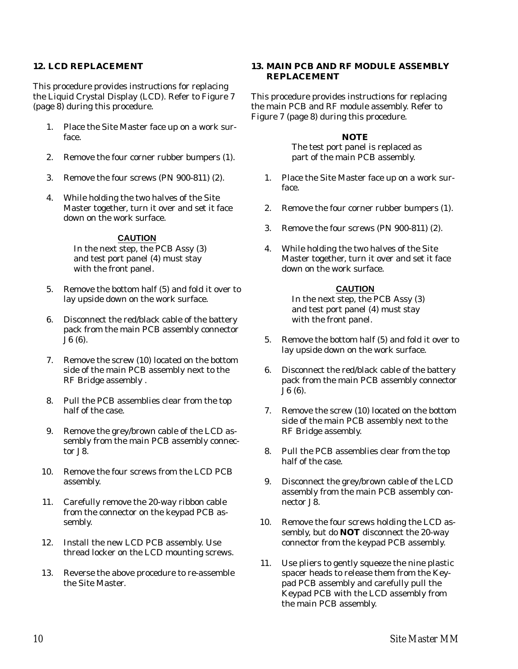# **12. LCD REPLACEMENT**

This procedure provides instructions for replacing the Liquid Crystal Display (LCD). Refer to Figure 7 (page 8) during this procedure.

- 1. Place the Site Master face up on a work surface.
- 2. Remove the four corner rubber bumpers (1).
- 3. Remove the four screws (PN 900-811) (2).
- 4. While holding the two halves of the Site Master together, turn it over and set it face down on the work surface.

### **CAUTION**

In the next step, the PCB Assy (3) and test port panel (4) must stay with the front panel.

- 5. Remove the bottom half (5) and fold it over to lay upside down on the work surface.
- 6. Disconnect the red/black cable of the battery pack from the main PCB assembly connector J6 (6).
- 7. Remove the screw (10) located on the bottom side of the main PCB assembly next to the RF Bridge assembly .
- 8. Pull the PCB assemblies clear from the top half of the case.
- 9. Remove the grey/brown cable of the LCD assembly from the main PCB assembly connector J8.
- 10. Remove the four screws from the LCD PCB assembly.
- 11. Carefully remove the 20-way ribbon cable from the connector on the keypad PCB assembly.
- 12. Install the new LCD PCB assembly. Use thread locker on the LCD mounting screws.
- 13. Reverse the above procedure to re-assemble the Site Master.

### **13. MAIN PCB AND RF MODULE ASSEMBLY REPLACEMENT**

This procedure provides instructions for replacing the main PCB and RF module assembly. Refer to Figure 7 (page 8) during this procedure.

# *NOTE*

The test port panel is replaced as part of the main PCB assembly.

- 1. Place the Site Master face up on a work surface.
- 2. Remove the four corner rubber bumpers (1).
- 3. Remove the four screws (PN 900-811) (2).
- 4. While holding the two halves of the Site Master together, turn it over and set it face down on the work surface.

# **CAUTION**

In the next step, the PCB Assy (3) and test port panel (4) must stay with the front panel.

- 5. Remove the bottom half (5) and fold it over to lay upside down on the work surface.
- 6. Disconnect the red/black cable of the battery pack from the main PCB assembly connector J6 (6).
- 7. Remove the screw (10) located on the bottom side of the main PCB assembly next to the RF Bridge assembly.
- 8. Pull the PCB assemblies clear from the top half of the case.
- 9. Disconnect the grey/brown cable of the LCD assembly from the main PCB assembly connector J8.
- 10. Remove the four screws holding the LCD assembly, but do **NOT** disconnect the 20-way connector from the keypad PCB assembly.
- 11. Use pliers to gently squeeze the nine plastic spacer heads to release them from the Keypad PCB assembly and carefully pull the Keypad PCB with the LCD assembly from the main PCB assembly.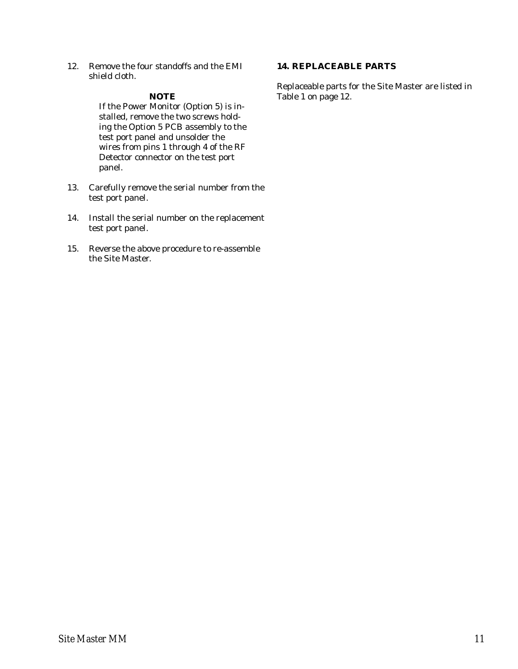12. Remove the four standoffs and the EMI shield cloth.

### *NOTE*

If the Power Monitor (Option 5) is installed, remove the two screws holding the Option 5 PCB assembly to the test port panel and unsolder the wires from pins 1 through 4 of the RF Detector connector on the test port panel.

- 13. Carefully remove the serial number from the test port panel.
- 14. Install the serial number on the replacement test port panel.
- 15. Reverse the above procedure to re-assemble the Site Master.

# **14. REPLACEABLE PARTS**

Replaceable parts for the Site Master are listed in Table 1 on page 12.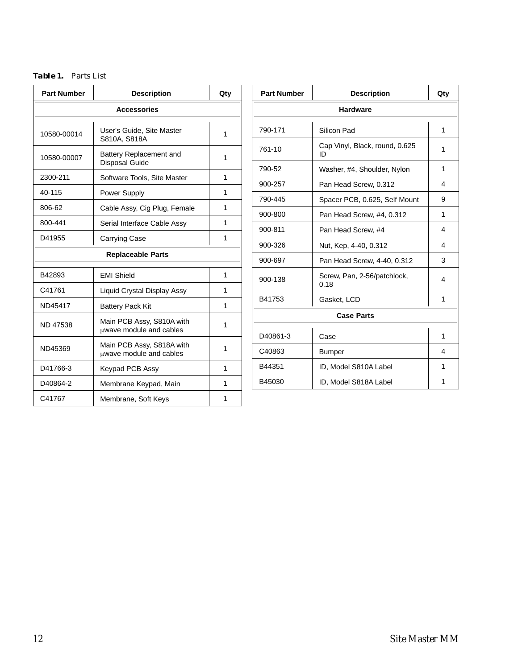# *Table 1. Parts List*

| <b>Part Number</b>       | <b>Description</b>                                        | Qty |  |
|--------------------------|-----------------------------------------------------------|-----|--|
| <b>Accessories</b>       |                                                           |     |  |
| 10580-00014              | User's Guide, Site Master<br>S810A, S818A                 | 1   |  |
| 10580-00007              | <b>Battery Replacement and</b><br>Disposal Guide          | 1   |  |
| 2300-211                 | Software Tools, Site Master                               | 1   |  |
| 40-115                   | <b>Power Supply</b>                                       | 1   |  |
| 806-62                   | Cable Assy, Cig Plug, Female                              | 1   |  |
| 800-441                  | Serial Interface Cable Assy                               | 1   |  |
| D41955                   | <b>Carrying Case</b>                                      | 1   |  |
| <b>Replaceable Parts</b> |                                                           |     |  |
| B42893                   | <b>EMI Shield</b>                                         | 1   |  |
| C41761                   | Liquid Crystal Display Assy                               | 1   |  |
| ND45417                  | <b>Battery Pack Kit</b>                                   | 1   |  |
| <b>ND 47538</b>          | Main PCB Assy, S810A with<br>uwave module and cables      | 1   |  |
| ND45369                  | Main PCB Assy, S818A with<br>1<br>uwave module and cables |     |  |
| D41766-3                 | Keypad PCB Assy                                           | 1   |  |
| D40864-2                 | Membrane Keypad, Main                                     | 1   |  |
| C41767                   | Membrane, Soft Keys                                       | 1   |  |

| <b>Part Number</b> | <b>Description</b>                   | Qty |  |
|--------------------|--------------------------------------|-----|--|
| <b>Hardware</b>    |                                      |     |  |
| 790-171            | Silicon Pad                          | 1   |  |
| 761-10             | Cap Vinyl, Black, round, 0.625<br>ID | 1   |  |
| 790-52             | Washer, #4, Shoulder, Nylon          | 1   |  |
| 900-257            | Pan Head Screw, 0.312                | 4   |  |
| 790-445            | Spacer PCB, 0.625, Self Mount        | 9   |  |
| 900-800            | Pan Head Screw, #4, 0.312            | 1   |  |
| 900-811            | Pan Head Screw, #4                   | 4   |  |
| 900-326            | Nut, Kep, 4-40, 0.312                | 4   |  |
| 900-697            | Pan Head Screw, 4-40, 0.312          | 3   |  |
| 900-138            | Screw, Pan, 2-56/patchlock,<br>0.18  | 4   |  |
| B41753             | Gasket, LCD                          | 1   |  |
| <b>Case Parts</b>  |                                      |     |  |
| D40861-3           | Case                                 | 1   |  |
| C40863             | <b>Bumper</b>                        | 4   |  |
| B44351             | ID, Model S810A Label                | 1   |  |
| B45030             | 1<br>ID, Model S818A Label           |     |  |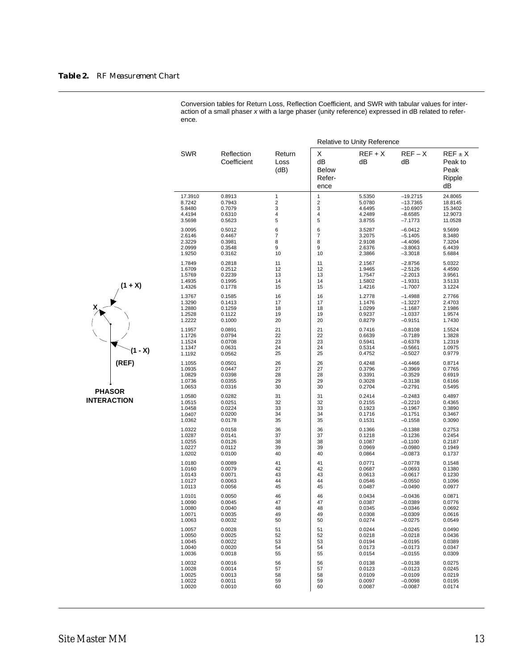|                  |                           |                        |                                           | Relative to Unity Reference |                        |                                                |
|------------------|---------------------------|------------------------|-------------------------------------------|-----------------------------|------------------------|------------------------------------------------|
| <b>SWR</b>       | Reflection<br>Coefficient | Return<br>Loss<br>(dB) | X<br>dB<br><b>Below</b><br>Refer-<br>ence | $REF+X$<br>dB               | $REF-X$<br>dВ          | $REF \pm X$<br>Peak to<br>Peak<br>Ripple<br>dB |
| 17.3910          | 0.8913                    | $\mathbf{1}$           | 1                                         | 5.5350                      | $-19.2715$             | 24.8065                                        |
| 8.7242           | 0.7943                    | $\overline{2}$         | $\overline{2}$                            | 5.0780                      | $-13.7365$             | 18.8145                                        |
| 5.8480           | 0.7079                    | 3                      | 3                                         | 4.6495                      | $-10.6907$             | 15.3402                                        |
| 4.4194           | 0.6310                    | 4                      | 4                                         | 4.2489                      | $-8.6585$              | 12.9073                                        |
| 3.5698           | 0.5623                    | 5                      | 5                                         | 3.8755                      | $-7.1773$              | 11.0528                                        |
| 3.0095           | 0.5012                    | 6                      | 6                                         | 3.5287                      | $-6.0412$              | 9.5699                                         |
| 2.6146           | 0.4467                    | 7                      | 7                                         | 3.2075                      | $-5.1405$              | 8.3480                                         |
| 2.3229           | 0.3981                    | 8                      | 8                                         | 2.9108                      | $-4.4096$              | 7.3204                                         |
| 2.0999           | 0.3548                    | 9                      | 9                                         | 2.6376                      | $-3.8063$              | 6.4439                                         |
| 1.9250           | 0.3162                    | 10                     | 10                                        | 2.3866                      | $-3.3018$              | 5.6884                                         |
| 1.7849           | 0.2818                    | 11                     | 11                                        | 2.1567                      | $-2.8756$              | 5.0322                                         |
| 1.6709           | 0.2512                    | 12                     | 12                                        | 1.9465                      | $-2.5126$              | 4.4590                                         |
| 1.5769           | 0.2239                    | 13                     | 13                                        | 1.7547                      | $-2.2013$              | 3.9561                                         |
| 1.4935           | 0.1995                    | 14                     | 14                                        | 1.5802                      | $-1.9331$              | 3.5133                                         |
| 1.4326           | 0.1778                    | 15                     | 15                                        | 1.4216                      | $-1.7007$              | 3.1224                                         |
| 1.3767           | 0.1585                    | 16                     | 16                                        | 1.2778                      | $-1.4988$              | 2.7766                                         |
| 1.3290           | 0.1413                    | 17                     | 17                                        | 1.1476                      | $-1.3227$              | 2.4703                                         |
| 1.2880           | 0.1259                    | 18                     | 18                                        | 1.0299                      | $-1.1687$              | 2.1986                                         |
| 1.2528           | 0.1122                    | 19                     | 19                                        | 0.9237                      | $-1.0337$              | 1.9574                                         |
| 1.2222           | 0.1000                    | 20                     | 20                                        | 0.8279                      | $-0.9151$              | 1.7430                                         |
| 1.1957           | 0.0891                    | 21                     | 21                                        | 0.7416                      | $-0.8108$              | 1.5524                                         |
| 1.1726           | 0.0794                    | 22                     | 22                                        | 0.6639                      | $-0.7189$              | 1.3828                                         |
| 1.1524           | 0.0708                    | 23                     | 23                                        | 0.5941                      | $-0.6378$              | 1.2319                                         |
| 1.1347           | 0.0631                    | 24                     | 24                                        | 0.5314                      | $-0.5661$              | 1.0975                                         |
| 1.1192           | 0.0562                    | 25                     | 25                                        | 0.4752                      | $-0.5027$              | 0.9779                                         |
| 1.1055           | 0.0501                    | 26                     | 26                                        | 0.4248                      | $-0.4466$              | 0.8714                                         |
| 1.0935           | 0.0447                    | 27                     | 27                                        | 0.3796                      | $-0.3969$              | 0.7765                                         |
| 1.0829           | 0.0398                    | 28                     | 28                                        | 0.3391                      | $-0.3529$              | 0.6919                                         |
| 1.0736           | 0.0355                    | 29                     | 29                                        | 0.3028                      | $-0.3138$              | 0.6166                                         |
| 1.0653           | 0.0316                    | 30                     | 30                                        | 0.2704                      | $-0.2791$              | 0.5495                                         |
| 1.0580           | 0.0282                    | 31                     | 31                                        | 0.2414                      | $-0.2483$              | 0.4897                                         |
| 1.0515           | 0.0251                    | 32                     | 32                                        | 0.2155                      | $-0.2210$              | 0.4365                                         |
| 1.0458           | 0.0224                    | 33                     | 33                                        | 0.1923                      | $-0.1967$              | 0.3890                                         |
| 1.0407           | 0.0200                    | 34                     | 34                                        | 0.1716                      | $-0.1751$              | 0.3467                                         |
| 1.0362           | 0.0178                    | 35                     | 35                                        | 0.1531                      | $-0.1558$              | 0.3090                                         |
| 1.0322           | 0.0158                    | 36                     | 36                                        | 0.1366                      | $-0.1388$              | 0.2753                                         |
| 1.0287           | 0.0141                    | 37                     | 37                                        | 0.1218                      | $-0.1236$              | 0.2454                                         |
| 1.0255           | 0.0126                    | 38                     | 38                                        | 0.1087                      | $-0.1100$              | 0.2187                                         |
| 1.0227           | 0.0112                    | 39                     | 39                                        | 0.0969                      | $-0.0980$              | 0.1949                                         |
| 1.0202           | 0.0100                    | 40                     | 40                                        | 0.0864                      | $-0.0873$              | 0.1737                                         |
| 1.0180           | 0.0089                    | 41                     | 41                                        | 0.0771                      | $-0.0778$              | 0.1548                                         |
| 1.0160           | 0.0079                    | 42                     | 42                                        | 0.0687                      | $-0.0693$              | 0.1380                                         |
| 1.0143           | 0.0071                    | 43                     | 43                                        | 0.0613                      | $-0.0617$              | 0.1230                                         |
| 1.0127           | 0.0063                    | 44                     | 44                                        | 0.0546                      | $-0.0550$              | 0.1096                                         |
| 1.0113           | 0.0056                    | 45                     | 45                                        | 0.0487                      | $-0.0490$              | 0.0977                                         |
| 1.0101           | 0.0050                    | 46                     | 46                                        | 0.0434                      | $-0.0436$              | 0.0871                                         |
| 1.0090           | 0.0045                    | 47                     | 47                                        | 0.0387                      | $-0.0389$              | 0.0776                                         |
| 1.0080           | 0.0040                    | 48                     | 48                                        | 0.0345                      | $-0.0346$              | 0.0692                                         |
| 1.0071<br>1.0063 | 0.0035<br>0.0032          | 49                     | 49                                        | 0.0308<br>0.0274            | $-0.0309$              | 0.0616<br>0.0549                               |
|                  |                           | 50                     | 50                                        |                             | $-0.0275$              |                                                |
| 1.0057           | 0.0028                    | 51                     | 51                                        | 0.0244                      | $-0.0245$              | 0.0490                                         |
| 1.0050           | 0.0025                    | 52                     | 52                                        | 0.0218                      | $-0.0218$              | 0.0436                                         |
| 1.0045           | 0.0022                    | 53                     | 53                                        | 0.0194<br>0.0173            | $-0.0195$              | 0.0389                                         |
| 1.0040<br>1.0036 | 0.0020<br>0.0018          | 54<br>55               | 54<br>55                                  | 0.0154                      | $-0.0173$<br>$-0.0155$ | 0.0347<br>0.0309                               |
|                  |                           |                        |                                           |                             |                        |                                                |
| 1.0032           | 0.0016                    | 56                     | 56                                        | 0.0138                      | $-0.0138$              | 0.0275                                         |
| 1.0028<br>1.0025 | 0.0014                    | 57                     | 57                                        | 0.0123                      | $-0.0123$              | 0.0245                                         |
| 1.0022           | 0.0013<br>0.0011          | 58<br>59               | 58<br>59                                  | 0.0109<br>0.0097            | $-0.0109$<br>$-0.0098$ | 0.0219<br>0.0195                               |
|                  |                           |                        |                                           |                             |                        |                                                |

Conversion tables for Return Loss, Reflection Coefficient, and SWR with tabular values for interaction of a small phaser x with a large phaser (unity reference) expressed in dB related to refer-

**PHASOR INTERACTION**

**(REF)**

**(1 - X)**

**X**

**(1 + X)**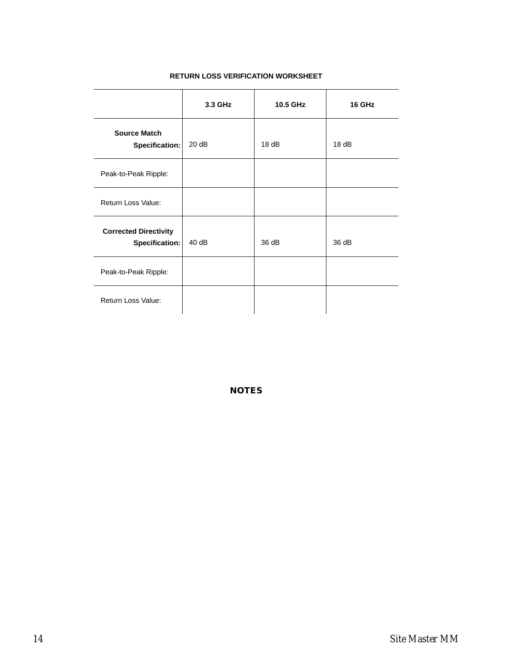### **RETURN LOSS VERIFICATION WORKSHEET**

|                                                | 3.3 GHz | 10.5 GHz | 16 GHz |
|------------------------------------------------|---------|----------|--------|
| <b>Source Match</b><br>Specification:          | 20 dB   | 18dB     | 18dB   |
| Peak-to-Peak Ripple:                           |         |          |        |
| Return Loss Value:                             |         |          |        |
| <b>Corrected Directivity</b><br>Specification: | 40dB    | 36 dB    | 36 dB  |
| Peak-to-Peak Ripple:                           |         |          |        |
| Return Loss Value:                             |         |          |        |

*NOTES*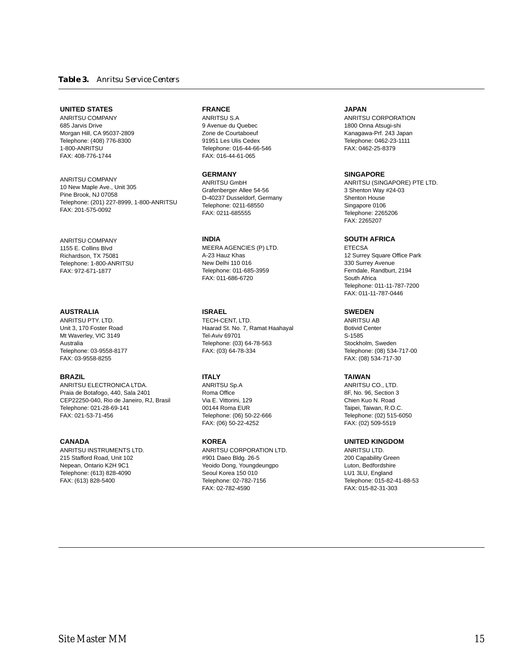### **UNITED STATES**

ANRITSU COMPANY 685 Jarvis Drive Morgan Hill, CA 95037-2809 Telephone: (408) 776-8300 1-800-ANRITSU FAX: 408-776-1744

ANRITSU COMPANY 10 New Maple Ave., Unit 305 Pine Brook, NJ 07058 Telephone: (201) 227-8999, 1-800-ANRITSU FAX: 201-575-0092

ANRITSU COMPANY 1155 E. Collins Blvd Richardson, TX 75081 Telephone: 1-800-ANRITSU FAX: 972-671-1877

### **AUSTRALIA**

ANRITSU PTY. LTD. Unit 3, 170 Foster Road Mt Waverley, VIC 3149 Australia Telephone: 03-9558-8177 FAX: 03-9558-8255

### **BRAZIL**

ANRITSU ELECTRONICA LTDA. Praia de Botafogo, 440, Sala 2401 CEP22250-040, Rio de Janeiro, RJ, Brasil Telephone: 021-28-69-141 FAX: 021-53-71-456

### **CANADA**

ANRITSU INSTRUMENTS LTD. 215 Stafford Road, Unit 102 Nepean, Ontario K2H 9C1 Telephone: (613) 828-4090 FAX: (613) 828-5400

### **FRANCE**

ANRITSU S.A 9 Avenue du Quebec Zone de Courtaboeuf 91951 Les Ulis Cedex Telephone: 016-44-66-546 FAX: 016-44-61-065

### **GERMANY**

ANRITSU GmbH Grafenberger Allee 54-56 D-40237 Dusseldorf, Germany Telephone: 0211-68550 FAX: 0211-685555

### **INDIA**

MEERA AGENCIES (P) LTD. A-23 Hauz Khas New Delhi 110 016 Telephone: 011-685-3959 FAX: 011-686-6720

### **ISRAEL**

TECH-CENT, LTD. Haarad St. No. 7, Ramat Haahayal Tel-Aviv 69701 Telephone: (03) 64-78-563 FAX: (03) 64-78-334

### **ITALY**

ANRITSU Sp.A Roma Office Via E. Vittorini, 129 00144 Roma EUR Telephone: (06) 50-22-666 FAX: (06) 50-22-4252

### **KOREA**

ANRITSU CORPORATION LTD. #901 Daeo Bldg. 26-5 Yeoido Dong, Youngdeungpo Seoul Korea 150 010 Telephone: 02-782-7156 FAX: 02-782-4590

### **JAPAN**

ANRITSU CORPORATION 1800 Onna Atsugi-shi Kanagawa-Prf. 243 Japan Telephone: 0462-23-1111 FAX: 0462-25-8379

### **SINGAPORE**

ANRITSU (SINGAPORE) PTE LTD. 3 Shenton Way #24-03 Shenton House Singapore 0106 Telephone: 2265206 FAX: 2265207

### **SOUTH AFRICA**

ETECSA 12 Surrey Square Office Park 330 Surrey Avenue Ferndale, Randburt, 2194 South Africa Telephone: 011-11-787-7200 FAX: 011-11-787-0446

### **SWEDEN**

ANRITSU AB Botivid Center S-1585 Stockholm, Sweden Telephone: (08) 534-717-00 FAX: (08) 534-717-30

### **TAIWAN**

ANRITSU CO., LTD. 8F, No. 96, Section 3 Chien Kuo N. Road Taipei, Taiwan, R.O.C. Telephone: (02) 515-6050 FAX: (02) 509-5519

### **UNITED KINGDOM**

ANRITSU LTD. 200 Capability Green Luton, Bedfordshire LU1 3LU, England Telephone: 015-82-41-88-53 FAX: 015-82-31-303